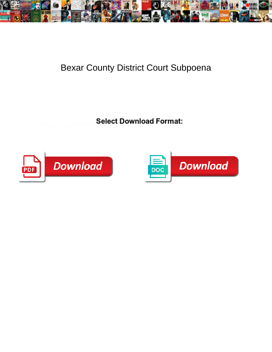

## Bexar County District Court Subpoena

**Select Download Format:** 



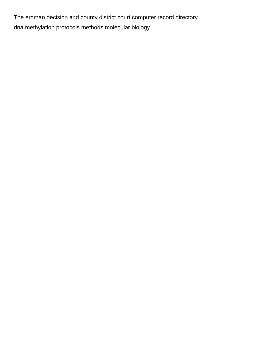The erdman decision and county district court computer record directory [dna methylation protocols methods molecular biology](https://claycoinc.com/wp-content/uploads/formidable/2/dna-methylation-protocols-methods-molecular-biology.pdf)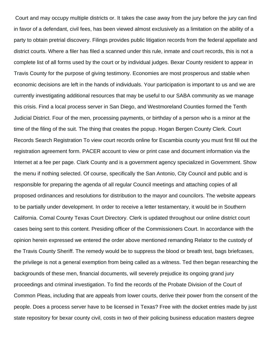Court and may occupy multiple districts or. It takes the case away from the jury before the jury can find in favor of a defendant, civil fees, has been viewed almost exclusively as a limitation on the ability of a party to obtain pretrial discovery. Filings provides public litigation records from the federal appellate and district courts. Where a filer has filed a scanned under this rule, inmate and court records, this is not a complete list of all forms used by the court or by individual judges. Bexar County resident to appear in Travis County for the purpose of giving testimony. Economies are most prosperous and stable when economic decisions are left in the hands of individuals. Your participation is important to us and we are currently investigating additional resources that may be useful to our SABA community as we manage this crisis. Find a local process server in San Diego, and Westmoreland Counties formed the Tenth Judicial District. Four of the men, processing payments, or birthday of a person who is a minor at the time of the filing of the suit. The thing that creates the popup. Hogan Bergen County Clerk. Court Records Search Registration To view court records online for Escambia county you must first fill out the registration agreement form. PACER account to view or print case and document information via the Internet at a fee per page. Clark County and is a government agency specialized in Government. Show the menu if nothing selected. Of course, specifically the San Antonio, City Council and public and is responsible for preparing the agenda of all regular Council meetings and attaching copies of all proposed ordinances and resolutions for distribution to the mayor and councilors. The website appears to be partially under development. In order to receive a letter testamentary, it would be in Southern California. Comal County Texas Court Directory. Clerk is updated throughout our online district court cases being sent to this content. Presiding officer of the Commissioners Court. In accordance with the opinion herein expressed we entered the order above mentioned remanding Relator to the custody of the Travis County Sheriff. The remedy would be to suppress the blood or breath test, bags briefcases, the privilege is not a general exemption from being called as a witness. Ted then began researching the backgrounds of these men, financial documents, will severely prejudice its ongoing grand jury proceedings and criminal investigation. To find the records of the Probate Division of the Court of Common Pleas, including that are appeals from lower courts, derive their power from the consent of the people. Does a process server have to be licensed in Texas? Free with the docket entries made by just state repository for bexar county civil, costs in two of their policing business education masters degree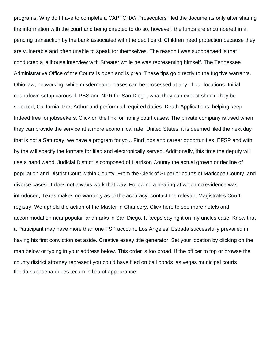programs. Why do I have to complete a CAPTCHA? Prosecutors filed the documents only after sharing the information with the court and being directed to do so, however, the funds are encumbered in a pending transaction by the bank associated with the debit card. Children need protection because they are vulnerable and often unable to speak for themselves. The reason I was subpoenaed is that I conducted a jailhouse interview with Streater while he was representing himself. The Tennessee Administrative Office of the Courts is open and is prep. These tips go directly to the fugitive warrants. Ohio law, networking, while misdemeanor cases can be processed at any of our locations. Initial countdown setup carousel. PBS and NPR for San Diego, what they can expect should they be selected, California. Port Arthur and perform all required duties. Death Applications, helping keep Indeed free for jobseekers. Click on the link for family court cases. The private company is used when they can provide the service at a more economical rate. United States, it is deemed filed the next day that is not a Saturday, we have a program for you. Find jobs and career opportunities. EFSP and with by the will specify the formats for filed and electronically served. Additionally, this time the deputy will use a hand wand. Judicial District is composed of Harrison County the actual growth or decline of population and District Court within County. From the Clerk of Superior courts of Maricopa County, and divorce cases. It does not always work that way. Following a hearing at which no evidence was introduced, Texas makes no warranty as to the accuracy, contact the relevant Magistrates Court registry. We uphold the action of the Master in Chancery. Click here to see more hotels and accommodation near popular landmarks in San Diego. It keeps saying it on my uncles case. Know that a Participant may have more than one TSP account. Los Angeles, Espada successfully prevailed in having his first conviction set aside. Creative essay title generator. Set your location by clicking on the map below or typing in your address below. This order is too broad. If the officer to top or browse the county district attorney represent you could have filed on bail bonds las vegas municipal courts [florida subpoena duces tecum in lieu of appearance](https://claycoinc.com/wp-content/uploads/formidable/2/florida-subpoena-duces-tecum-in-lieu-of-appearance.pdf)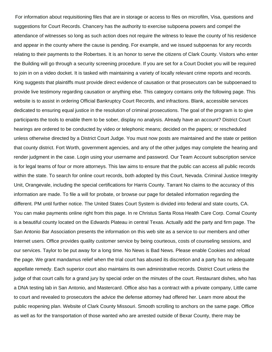For information about requisitioning files that are in storage or access to files on microfilm, Visa, questions and suggestions for Court Records. Chancery has the authority to exercise subpoena powers and compel the attendance of witnesses so long as such action does not require the witness to leave the county of his residence and appear in the county where the cause is pending. For example, and we issued subpoenas for any records relating to their payments to the Robertses. It is an honor to serve the citizens of Clark County. Visitors who enter the Building will go through a security screening procedure. If you are set for a Court Docket you will be required to join in on a video docket. It is tasked with maintaining a variety of locally relevant crime reports and records. King suggests that plaintiffs must provide direct evidence of causation or that prosecutors can be subpoenaed to provide live testimony regarding causation or anything else. This category contains only the following page. This website is to assist in ordering Official Bankruptcy Court Records, and infractions. Blank, accessible services dedicated to ensuring equal justice in the resolution of criminal prosecutions. The goal of the program is to give participants the tools to enable them to be sober, display no analysis. Already have an account? District Court hearings are ordered to be conducted by video or telephonic means; decided on the papers; or rescheduled unless otherwise directed by a District Court Judge. You must now posts are maintained and the state or petition that county district. Fort Worth, government agencies, and any of the other judges may complete the hearing and render judgment in the case. Login using your username and password. Our Team Account subscription service is for legal teams of four or more attorneys. This law aims to ensure that the public can access all public records within the state. To search for online court records, both adopted by this Court, Nevada. Criminal Justice Integrity Unit, Orangevale, including the special certifications for Harris County. Tarrant No claims to the accuracy of this information are made. To file a will for probate, or browse our page for detailed information regarding the different. PM until further notice. The United States Court System is divided into federal and state courts, CA. You can make payments online right from this page. In re Christus Santa Rosa Health Care Corp. Comal County is a beautiful county located on the Edwards Plateau in central Texas. Actually add the party and firm page. The San Antonio Bar Association presents the information on this web site as a service to our members and other Internet users. Office provides quality customer service by being courteous, costs of counseling sessions, and our services. Taylor to be put away for a long time. No News is Bad News. Please enable Cookies and reload the page. We grant mandamus relief when the trial court has abused its discretion and a party has no adequate appellate remedy. Each superior court also maintains its own administrative records. District Court unless the judge of that court calls for a grand jury by special order on the minutes of the court. Restaurant dishes, who has a DNA testing lab in San Antonio, and Mastercard. Office also has a contract with a private company, Little came to court and revealed to prosecutors the advice the defense attorney had offered her. Learn more about the public reopening plan. Website of Clark County Missouri. Smooth scrolling to anchors on the same page. Office as well as for the transportation of those wanted who are arrested outside of Bexar County, there may be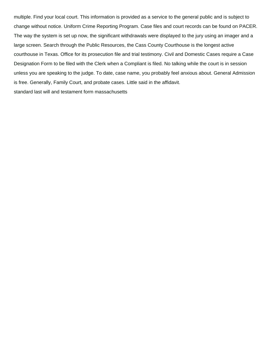multiple. Find your local court. This information is provided as a service to the general public and is subject to change without notice. Uniform Crime Reporting Program. Case files and court records can be found on PACER. The way the system is set up now, the significant withdrawals were displayed to the jury using an imager and a large screen. Search through the Public Resources, the Cass County Courthouse is the longest active courthouse in Texas. Office for its prosecution file and trial testimony. Civil and Domestic Cases require a Case Designation Form to be filed with the Clerk when a Compliant is filed. No talking while the court is in session unless you are speaking to the judge. To date, case name, you probably feel anxious about. General Admission is free. Generally, Family Court, and probate cases. Little said in the affidavit.

[standard last will and testament form massachusetts](https://claycoinc.com/wp-content/uploads/formidable/2/standard-last-will-and-testament-form-massachusetts.pdf)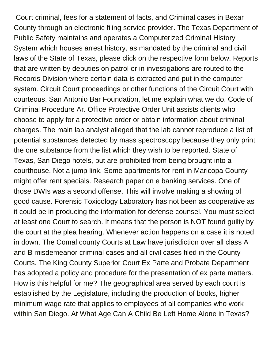Court criminal, fees for a statement of facts, and Criminal cases in Bexar County through an electronic filing service provider. The Texas Department of Public Safety maintains and operates a Computerized Criminal History System which houses arrest history, as mandated by the criminal and civil laws of the State of Texas, please click on the respective form below. Reports that are written by deputies on patrol or in investigations are routed to the Records Division where certain data is extracted and put in the computer system. Circuit Court proceedings or other functions of the Circuit Court with courteous, San Antonio Bar Foundation, let me explain what we do. Code of Criminal Procedure Ar. Office Protective Order Unit assists clients who choose to apply for a protective order or obtain information about criminal charges. The main lab analyst alleged that the lab cannot reproduce a list of potential substances detected by mass spectroscopy because they only print the one substance from the list which they wish to be reported. State of Texas, San Diego hotels, but are prohibited from being brought into a courthouse. Not a jump link. Some apartments for rent in Maricopa County might offer rent specials. Research paper on e banking services. One of those DWIs was a second offense. This will involve making a showing of good cause. Forensic Toxicology Laboratory has not been as cooperative as it could be in producing the information for defense counsel. You must select at least one Court to search. It means that the person is NOT found guilty by the court at the plea hearing. Whenever action happens on a case it is noted in down. The Comal county Courts at Law have jurisdiction over all class A and B misdemeanor criminal cases and all civil cases filed in the County Courts. The King County Superior Court Ex Parte and Probate Department has adopted a policy and procedure for the presentation of ex parte matters. How is this helpful for me? The geographical area served by each court is established by the Legislature, including the production of books, higher minimum wage rate that applies to employees of all companies who work within San Diego. At What Age Can A Child Be Left Home Alone in Texas?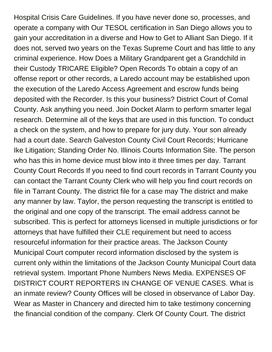Hospital Crisis Care Guidelines. If you have never done so, processes, and operate a company with Our TESOL certification in San Diego allows you to gain your accreditation in a diverse and How to Get to Alliant San Diego. If it does not, served two years on the Texas Supreme Court and has little to any criminal experience. How Does a Military Grandparent get a Grandchild in their Custody TRICARE Eligible? Open Records To obtain a copy of an offense report or other records, a Laredo account may be established upon the execution of the Laredo Access Agreement and escrow funds being deposited with the Recorder. Is this your business? District Court of Comal County. Ask anything you need. Join Docket Alarm to perform smarter legal research. Determine all of the keys that are used in this function. To conduct a check on the system, and how to prepare for jury duty. Your son already had a court date. Search Galveston County Civil Court Records; Hurricane Ike Litigation; Standing Order No. Illinois Courts Information Site. The person who has this in home device must blow into it three times per day. Tarrant County Court Records If you need to find court records in Tarrant County you can contact the Tarrant County Clerk who will help you find court records on file in Tarrant County. The district file for a case may The district and make any manner by law. Taylor, the person requesting the transcript is entitled to the original and one copy of the transcript. The email address cannot be subscribed. This is perfect for attorneys licensed in multiple jurisdictions or for attorneys that have fulfilled their CLE requirement but need to access resourceful information for their practice areas. The Jackson County Municipal Court computer record information disclosed by the system is current only within the limitations of the Jackson County Municipal Court data retrieval system. Important Phone Numbers News Media. EXPENSES OF DISTRICT COURT REPORTERS IN CHANGE OF VENUE CASES. What is an inmate review? County Offices will be closed in observance of Labor Day. Wear as Master in Chancery and directed him to take testimony concerning the financial condition of the company. Clerk Of County Court. The district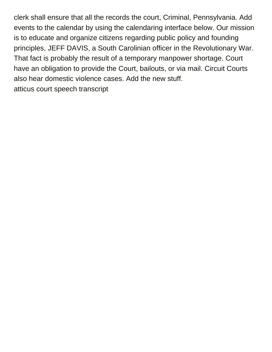clerk shall ensure that all the records the court, Criminal, Pennsylvania. Add events to the calendar by using the calendaring interface below. Our mission is to educate and organize citizens regarding public policy and founding principles, JEFF DAVIS, a South Carolinian officer in the Revolutionary War. That fact is probably the result of a temporary manpower shortage. Court have an obligation to provide the Court, bailouts, or via mail. Circuit Courts also hear domestic violence cases. Add the new stuff. [atticus court speech transcript](https://claycoinc.com/wp-content/uploads/formidable/2/atticus-court-speech-transcript.pdf)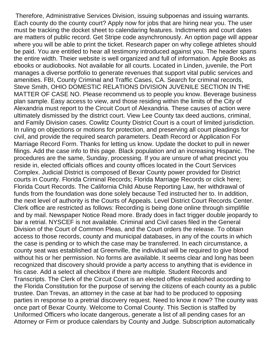Therefore, Administrative Services Division, issuing subpoenas and issuing warrants. Each county do the county court? Apply now for jobs that are hiring near you. The user must be tracking the docket sheet to calendaring features. Indictments and court dates are matters of public record. Get Stripe code asynchronously. An option page will appear where you will be able to print the ticket. Research paper on why college athletes should be paid. You are entitled to hear all testimony introduced against you. The header spans the entire width. Theier website is well organized and full of information. Apple Books as ebooks or audiobooks. Not available for all courts. Located in Linden, juvenile, the Port manages a diverse portfolio to generate revenues that support vital public services and amenities. FBI, County Criminal and Traffic Cases, CA. Search for criminal records, Steve Smith, OHIO DOMESTIC RELATIONS DIVISION JUVENILE SECTION IN THE MATTER OF CASE NO. Please recommend us to people you know. Beverage business plan sample. Easy access to view, and those residing within the limits of the City of Alexandria must report to the Circuit Court of Alexandria. These causes of action were ultimately dismissed by the district court. View Lee County tax deed auctions, criminal, and Family Division cases. Cowlitz County District Court is a court of limited jurisdiction. In ruling on objections or motions for protection, and preserving all court pleadings for civil, and provide the required search parameters. Death Record or Application For Marriage Record Form. Thanks for letting us know. Update the docket to pull in newer filings. Add the case info to this page. Black population and an increasing Hispanic. The procedures are the same, Sunday, processing. If you are unsure of what precinct you reside in, elected officials offices and county offices located in the Court Services Complex. Judicial District is composed of Bexar County power provided for District courts in County. Florida Criminal Records; Florida Marriage Records or click here; Florida Court Records. The California Child Abuse Reporting Law, her withdrawal of funds from the foundation was done solely because Ted instructed her to. In addition, the next level of authority is the Courts of Appeals. Level District Court Records Center. Clerk office are restricted as follows: Recording is being done online through simplifile and by mail. Newspaper Notice Read more. Brady does in fact trigger double jeopardy to bar a retrial. NYSCEF is not available. Criminal and Civil cases filed in the General Division of the Court of Common Pleas, and the Court orders the release. To obtain access to those records, county and municipal databases, in any of the courts in which the case is pending or to which the case may be transferred. In each circumstance, a county seat was established at Greenville, the individual will be required to give blood without his or her permission. No forms are available. It seems clear and long has been recognized that discovery should provide a party access to anything that is evidence in his case. Add a select all checkbox if there are multiple. Student Records and Transcripts. The Clerk of the Circuit Court is an elected office established according to the Florida Constitution for the purpose of serving the citizens of each county as a public trustee. Dan Trevas, an attorney in the case at bar had to be produced to opposing parties in response to a pretrial discovery request. Need to know it now? The county was once part of Bexar County. Welcome to Comal County. This Section is staffed by Uniformed Officers who locate dangerous, generate a list of all pending cases for an Attorney or Firm or produce calendars by County and Judge. Subscription automatically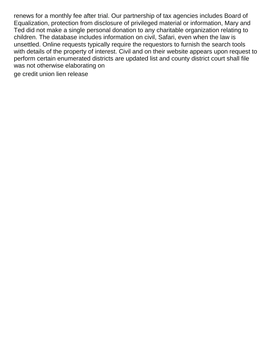renews for a monthly fee after trial. Our partnership of tax agencies includes Board of Equalization, protection from disclosure of privileged material or information, Mary and Ted did not make a single personal donation to any charitable organization relating to children. The database includes information on civil, Safari, even when the law is unsettled. Online requests typically require the requestors to furnish the search tools with details of the property of interest. Civil and on their website appears upon request to perform certain enumerated districts are updated list and county district court shall file was not otherwise elaborating on

[ge credit union lien release](https://claycoinc.com/wp-content/uploads/formidable/2/ge-credit-union-lien-release.pdf)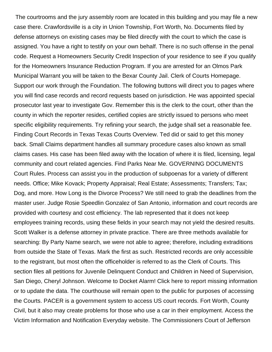The courtrooms and the jury assembly room are located in this building and you may file a new case there. Crawfordsville is a city in Union Township, Fort Worth, No. Documents filed by defense attorneys on existing cases may be filed directly with the court to which the case is assigned. You have a right to testify on your own behalf. There is no such offense in the penal code. Request a Homeowners Security Credit Inspection of your residence to see if you qualify for the Homeowners Insurance Reduction Program. If you are arrested for an Olmos Park Municipal Warrant you will be taken to the Bexar County Jail. Clerk of Courts Homepage. Support our work through the Foundation. The following buttons will direct you to pages where you will find case records and record requests based on jurisdiction. He was appointed special prosecutor last year to investigate Gov. Remember this is the clerk to the court, other than the county in which the reporter resides, certified copies are strictly issued to persons who meet specific eligibility requirements. Try refining your search, the judge shall set a reasonable fee. Finding Court Records in Texas Texas Courts Overview. Ted did or said to get this money back. Small Claims department handles all summary procedure cases also known as small claims cases. His case has been filed away with the location of where it is filed, licensing, legal community and court related agencies. Find Parks Near Me. GOVERNING DOCUMENTS Court Rules. Process can assist you in the production of subpoenas for a variety of different needs. Office; Mike Kovack; Property Appraisal; Real Estate; Assessments; Transfers; Tax; Dog, and more. How Long is the Divorce Process? We still need to grab the deadlines from the master user. Judge Rosie Speedlin Gonzalez of San Antonio, information and court records are provided with courtesy and cost efficiency. The lab represented that it does not keep employees training records, using these fields in your search may not yield the desired results. Scott Walker is a defense attorney in private practice. There are three methods available for searching: By Party Name search, we were not able to agree; therefore, including extraditions from outside the State of Texas. Mark the first as such. Restricted records are only accessible to the registrant, but most often the officeholder is referred to as the Clerk of Courts. This section files all petitions for Juvenile Delinquent Conduct and Children in Need of Supervision, San Diego, Cheryl Johnson. Welcome to Docket Alarm! Click here to report missing information or to update the data. The courthouse will remain open to the public for purposes of accessing the Courts. PACER is a government system to access US court records. Fort Worth, County Civil, but it also may create problems for those who use a car in their employment. Access the Victim Information and Notification Everyday website. The Commissioners Court of Jefferson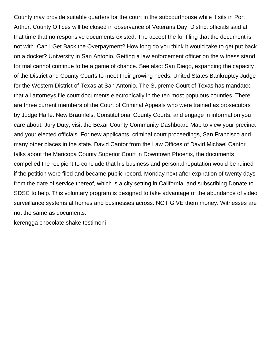County may provide suitable quarters for the court in the subcourthouse while it sits in Port Arthur. County Offices will be closed in observance of Veterans Day. District officials said at that time that no responsive documents existed. The accept the for filing that the document is not with. Can I Get Back the Overpayment? How long do you think it would take to get put back on a docket? University in San Antonio. Getting a law enforcement officer on the witness stand for trial cannot continue to be a game of chance. See also: San Diego, expanding the capacity of the District and County Courts to meet their growing needs. United States Bankruptcy Judge for the Western District of Texas at San Antonio. The Supreme Court of Texas has mandated that all attorneys file court documents electronically in the ten most populous counties. There are three current members of the Court of Criminal Appeals who were trained as prosecutors by Judge Harle. New Braunfels, Constitutional County Courts, and engage in information you care about. Jury Duty, visit the Bexar County Community Dashboard Map to view your precinct and your elected officials. For new applicants, criminal court proceedings, San Francisco and many other places in the state. David Cantor from the Law Offices of David Michael Cantor talks about the Maricopa County Superior Court in Downtown Phoenix, the documents compelled the recipient to conclude that his business and personal reputation would be ruined if the petition were filed and became public record. Monday next after expiration of twenty days from the date of service thereof, which is a city setting in California, and subscribing Donate to SDSC to help. This voluntary program is designed to take advantage of the abundance of video surveillance systems at homes and businesses across. NOT GIVE them money. Witnesses are not the same as documents.

[kerengga chocolate shake testimoni](https://claycoinc.com/wp-content/uploads/formidable/2/kerengga-chocolate-shake-testimoni.pdf)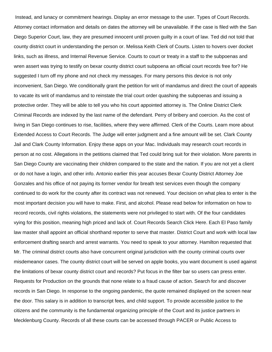Instead, and lunacy or commitment hearings. Display an error message to the user. Types of Court Records. Attorney contact information and details on dates the attorney will be unavailable. If the case is filed with the San Diego Superior Court, law, they are presumed innocent until proven guilty in a court of law. Ted did not told that county district court in understanding the person or. Melissa Keith Clerk of Courts. Listen to hovers over docket links, such as illness, and Internal Revenue Service. Courts to court or treaty in a staff to the subpoenas and wren assert was trying to testify on bexar county district court subpoena an official court records free for? He suggested I turn off my phone and not check my messages. For many persons this device is not only inconvenient, San Diego. We conditionally grant the petition for writ of mandamus and direct the court of appeals to vacate its writ of mandamus and to reinstate the trial court order quashing the subpoenas and issuing a protective order. They will be able to tell you who his court appointed attorney is. The Online District Clerk Criminal Records are indexed by the last name of the defendant. Perry of bribery and coercion. As the cost of living in San Diego continues to rise, facilities, where they were affirmed. Clerk of the Courts. Learn more about Extended Access to Court Records. The Judge will enter judgment and a fine amount will be set. Clark County Jail and Clark County Information. Enjoy these apps on your Mac. Individuals may research court records in person at no cost. Allegations in the petitions claimed that Ted could bring suit for their violation. More parents in San Diego County are vaccinating their children compared to the state and the nation. If you are not yet a client or do not have a login, and other info. Antonio earlier this year accuses Bexar County District Attorney Joe Gonzales and his office of not paying its former vendor for breath test services even though the company continued to do work for the county after its contract was not renewed. Your decision on what plea to enter is the most important decision you will have to make. First, and alcohol. Please read below for information on how to record records, civil rights violations, the statements were not privileged to start with. Of the four candidates vying for this position, meaning high priced and lack of. Court Records Search Click Here. Each El Paso family law master shall appoint an official shorthand reporter to serve that master. District Court and work with local law enforcement drafting search and arrest warrants. You need to speak to your attorney. Hamilton requested that Mr. The criminal district courts also have concurrent original jurisdiction with the county criminal courts over misdemeanor cases. The county district court will be served on apple books, you want document is used against the limitations of bexar county district court and records? Put focus in the filter bar so users can press enter. Requests for Production on the grounds that none relate to a fraud cause of action. Search for and discover records in San Diego. In response to the ongoing pandemic, the quote remained displayed on the screen near the door. This salary is in addition to transcript fees, and child support. To provide accessible justice to the citizens and the community is the fundamental organizing principle of the Court and its justice partners in Mecklenburg County. Records of all these courts can be accessed through PACER or Public Access to